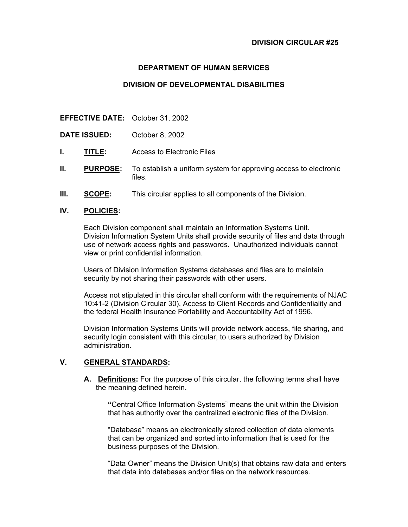## **DEPARTMENT OF HUMAN SERVICES**

### **DIVISION OF DEVELOPMENTAL DISABILITIES**

**EFFECTIVE DATE:** October 31, 2002

**DATE ISSUED:** October 8, 2002

- **I. TITLE:** Access to Electronic Files
- **II. PURPOSE:** To establish a uniform system for approving access to electronic files.
- **III.** SCOPE: This circular applies to all components of the Division.

#### **IV. POLICIES:**

Each Division component shall maintain an Information Systems Unit. Division Information System Units shall provide security of files and data through use of network access rights and passwords. Unauthorized individuals cannot view or print confidential information.

Users of Division Information Systems databases and files are to maintain security by not sharing their passwords with other users.

Access not stipulated in this circular shall conform with the requirements of NJAC 10:41-2 (Division Circular 30), Access to Client Records and Confidentiality and the federal Health Insurance Portability and Accountability Act of 1996.

Division Information Systems Units will provide network access, file sharing, and security login consistent with this circular, to users authorized by Division administration.

### **V. GENERAL STANDARDS:**

**A. Definitions:** For the purpose of this circular, the following terms shall have the meaning defined herein.

**"**Central Office Information Systems" means the unit within the Division that has authority over the centralized electronic files of the Division.

"Database" means an electronically stored collection of data elements that can be organized and sorted into information that is used for the business purposes of the Division.

"Data Owner" means the Division Unit(s) that obtains raw data and enters that data into databases and/or files on the network resources.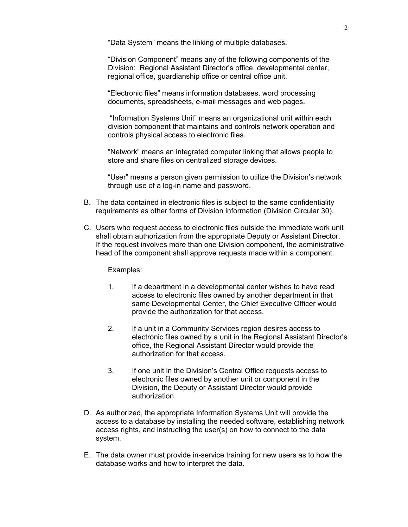"Data System" means the linking of multiple databases.

"Division Component" means any of the following components of the Division: Regional Assistant Director's office, developmental center, regional office, guardianship office or central office unit.

"Electronic files" means information databases, word processing documents, spreadsheets, e-mail messages and web pages.

 "Information Systems Unit" means an organizational unit within each division component that maintains and controls network operation and controls physical access to electronic files.

"Network" means an integrated computer linking that allows people to store and share files on centralized storage devices.

"User" means a person given permission to utilize the Division's network through use of a log-in name and password.

- B. The data contained in electronic files is subject to the same confidentiality requirements as other forms of Division information (Division Circular 30).
- C. Users who request access to electronic files outside the immediate work unit shall obtain authorization from the appropriate Deputy or Assistant Director. If the request involves more than one Division component, the administrative head of the component shall approve requests made within a component.

Examples:

- 1. If a department in a developmental center wishes to have read access to electronic files owned by another department in that same Developmental Center, the Chief Executive Officer would provide the authorization for that access.
- 2. If a unit in a Community Services region desires access to electronic files owned by a unit in the Regional Assistant Director's office, the Regional Assistant Director would provide the authorization for that access.
- 3. If one unit in the Division's Central Office requests access to electronic files owned by another unit or component in the Division, the Deputy or Assistant Director would provide authorization.
- D. As authorized, the appropriate Information Systems Unit will provide the access to a database by installing the needed software, establishing network access rights, and instructing the user(s) on how to connect to the data system.
- E. The data owner must provide in-service training for new users as to how the database works and how to interpret the data.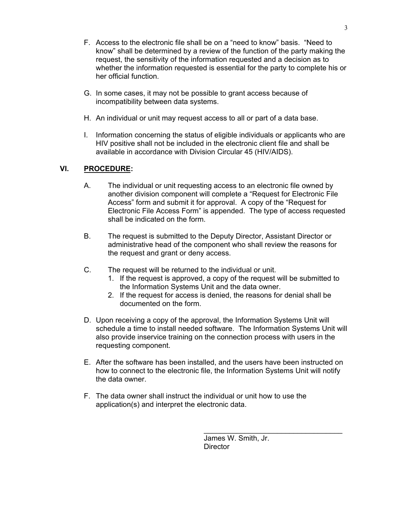- F. Access to the electronic file shall be on a "need to know" basis. "Need to know" shall be determined by a review of the function of the party making the request, the sensitivity of the information requested and a decision as to whether the information requested is essential for the party to complete his or her official function.
- G. In some cases, it may not be possible to grant access because of incompatibility between data systems.
- H. An individual or unit may request access to all or part of a data base.
- I. Information concerning the status of eligible individuals or applicants who are HIV positive shall not be included in the electronic client file and shall be available in accordance with Division Circular 45 (HIV/AIDS).

# **VI. PROCEDURE:**

- A. The individual or unit requesting access to an electronic file owned by another division component will complete a "Request for Electronic File Access" form and submit it for approval. A copy of the "Request for Electronic File Access Form" is appended. The type of access requested shall be indicated on the form.
- B. The request is submitted to the Deputy Director, Assistant Director or administrative head of the component who shall review the reasons for the request and grant or deny access.
- C. The request will be returned to the individual or unit.
	- 1. If the request is approved, a copy of the request will be submitted to the Information Systems Unit and the data owner.
	- 2. If the request for access is denied, the reasons for denial shall be documented on the form.
- D. Upon receiving a copy of the approval, the Information Systems Unit will schedule a time to install needed software. The Information Systems Unit will also provide inservice training on the connection process with users in the requesting component.
- E. After the software has been installed, and the users have been instructed on how to connect to the electronic file, the Information Systems Unit will notify the data owner.
- F. The data owner shall instruct the individual or unit how to use the application(s) and interpret the electronic data.

James W. Smith, Jr. **Director** 

\_\_\_\_\_\_\_\_\_\_\_\_\_\_\_\_\_\_\_\_\_\_\_\_\_\_\_\_\_\_\_\_\_\_